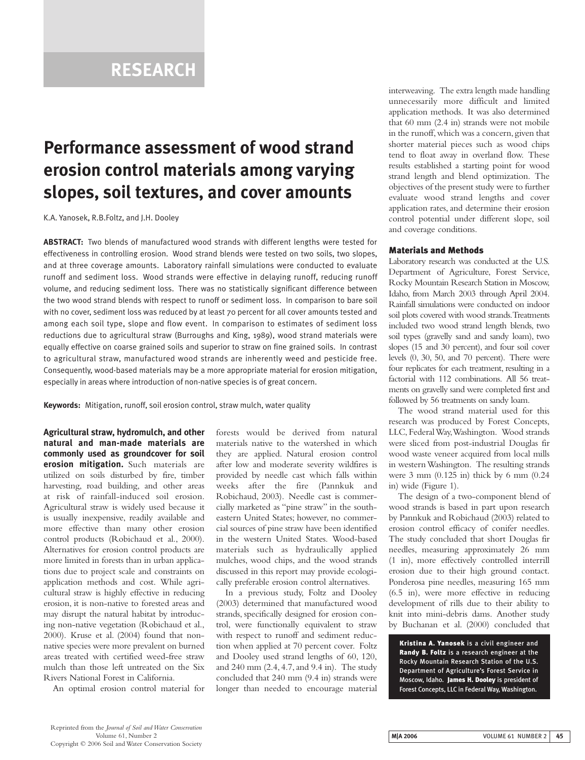## **RESEARCH**

# **Performance assessment of wood strand erosion control materials among varying slopes, soil textures, and cover amounts**

K.A. Yanosek, R.B.Foltz, and J.H. Dooley

**ABSTRACT:** Two blends of manufactured wood strands with different lengths were tested for effectiveness in controlling erosion. Wood strand blends were tested on two soils, two slopes, and at three coverage amounts. Laboratory rainfall simulations were conducted to evaluate runoff and sediment loss. Wood strands were effective in delaying runoff, reducing runoff volume, and reducing sediment loss. There was no statistically significant difference between the two wood strand blends with respect to runoff or sediment loss. In comparison to bare soil with no cover, sediment loss was reduced by at least 70 percent for all cover amounts tested and among each soil type, slope and flow event. In comparison to estimates of sediment loss reductions due to agricultural straw (Burroughs and King, 1989), wood strand materials were equally effective on coarse grained soils and superior to straw on fine grained soils. In contrast to agricultural straw, manufactured wood strands are inherently weed and pesticide free. Consequently, wood-based materials may be a more appropriate material for erosion mitigation, especially in areas where introduction of non-native species is of great concern.

**Keywords:** Mitigation, runoff, soil erosion control, straw mulch, water quality

**Agricultural straw, hydromulch, and other natural and man-made materials are commonly used as groundcover for soil erosion mitigation.** Such materials are utilized on soils disturbed by fire, timber harvesting, road building, and other areas at risk of rainfall-induced soil erosion. Agricultural straw is widely used because it is usually inexpensive, readily available and more effective than many other erosion control products (Robichaud et al., 2000). Alternatives for erosion control products are more limited in forests than in urban applications due to project scale and constraints on application methods and cost. While agricultural straw is highly effective in reducing erosion, it is non-native to forested areas and may disrupt the natural habitat by introducing non-native vegetation (Robichaud et al., 2000). Kruse et al. (2004) found that nonnative species were more prevalent on burned areas treated with certified weed-free straw mulch than those left untreated on the Six Rivers National Forest in California.

An optimal erosion control material for

forests would be derived from natural materials native to the watershed in which they are applied. Natural erosion control after low and moderate severity wildfires is provided by needle cast which falls within weeks after the fire (Pannkuk and Robichaud, 2003). Needle cast is commercially marketed as "pine straw" in the southeastern United States; however, no commercial sources of pine straw have been identified in the western United States. Wood-based materials such as hydraulically applied mulches, wood chips, and the wood strands discussed in this report may provide ecologically preferable erosion control alternatives.

In a previous study, Foltz and Dooley (2003) determined that manufactured wood strands, specifically designed for erosion control, were functionally equivalent to straw with respect to runoff and sediment reduction when applied at 70 percent cover. Foltz and Dooley used strand lengths of 60, 120, and 240 mm (2.4, 4.7, and 9.4 in). The study concluded that 240 mm (9.4 in) strands were longer than needed to encourage material interweaving. The extra length made handling unnecessarily more difficult and limited application methods. It was also determined that 60 mm (2.4 in) strands were not mobile in the runoff, which was a concern, given that shorter material pieces such as wood chips tend to float away in overland flow. These results established a starting point for wood strand length and blend optimization. The objectives of the present study were to further evaluate wood strand lengths and cover application rates, and determine their erosion control potential under different slope, soil and coverage conditions.

#### **Materials and Methods**

Laboratory research was conducted at the U.S. Department of Agriculture, Forest Service, Rocky Mountain Research Station in Moscow, Idaho, from March 2003 through April 2004. Rainfall simulations were conducted on indoor soil plots covered with wood strands.Treatments included two wood strand length blends, two soil types (gravelly sand and sandy loam), two slopes (15 and 30 percent), and four soil cover levels (0, 30, 50, and 70 percent). There were four replicates for each treatment, resulting in a factorial with 112 combinations. All 56 treatments on gravelly sand were completed first and followed by 56 treatments on sandy loam.

The wood strand material used for this research was produced by Forest Concepts, LLC, Federal Way,Washington. Wood strands were sliced from post-industrial Douglas fir wood waste veneer acquired from local mills in western Washington. The resulting strands were 3 mm (0.125 in) thick by 6 mm (0.24 in) wide (Figure 1).

The design of a two-component blend of wood strands is based in part upon research by Pannkuk and Robichaud (2003) related to erosion control efficacy of conifer needles. The study concluded that short Douglas fir needles, measuring approximately 26 mm (1 in), more effectively controlled interrill erosion due to their high ground contact. Ponderosa pine needles, measuring 165 mm (6.5 in), were more effective in reducing development of rills due to their ability to knit into mini-debris dams. Another study by Buchanan et al. (2000) concluded that

**Kristina A. Yanosek** is a civil engineer and **Randy B. Foltz** is a research engineer at the Rocky Mountain Research Station of the U.S. Department of Agriculture's Forest Service in Moscow, Idaho. **James H. Dooley** is president of Forest Concepts, LLC in Federal Way, Washington.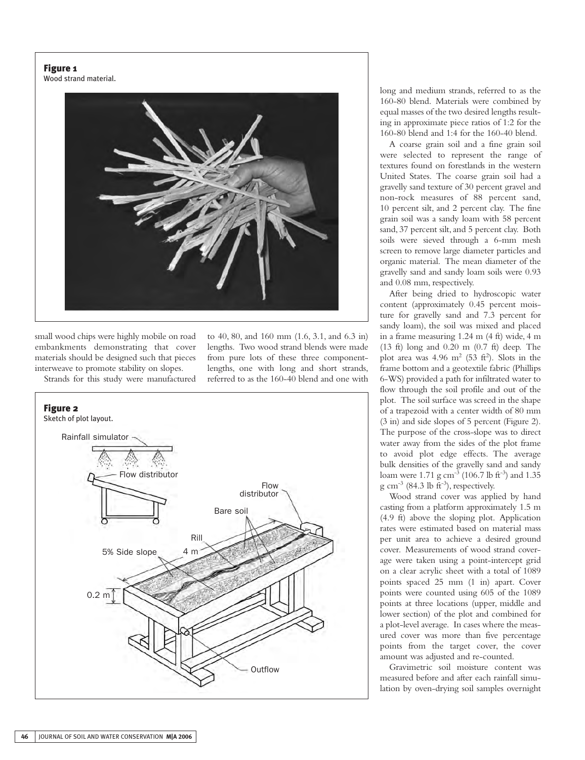## **Figure 1**

Wood strand material.



small wood chips were highly mobile on road embankments demonstrating that cover materials should be designed such that pieces interweave to promote stability on slopes. Strands for this study were manufactured to 40, 80, and 160 mm (1.6, 3.1, and 6.3 in) lengths. Two wood strand blends were made from pure lots of these three componentlengths, one with long and short strands, referred to as the 160-40 blend and one with



long and medium strands, referred to as the 160-80 blend. Materials were combined by equal masses of the two desired lengths resulting in approximate piece ratios of 1:2 for the 160-80 blend and 1:4 for the 160-40 blend.

A coarse grain soil and a fine grain soil were selected to represent the range of textures found on forestlands in the western United States. The coarse grain soil had a gravelly sand texture of 30 percent gravel and non-rock measures of 88 percent sand, 10 percent silt, and 2 percent clay. The fine grain soil was a sandy loam with 58 percent sand, 37 percent silt, and 5 percent clay. Both soils were sieved through a 6-mm mesh screen to remove large diameter particles and organic material. The mean diameter of the gravelly sand and sandy loam soils were 0.93 and 0.08 mm, respectively.

After being dried to hydroscopic water content (approximately 0.45 percent moisture for gravelly sand and 7.3 percent for sandy loam), the soil was mixed and placed in a frame measuring 1.24 m (4 ft) wide, 4 m (13 ft) long and 0.20 m (0.7 ft) deep. The plot area was  $4.96 \text{ m}^2$  (53 ft<sup>2</sup>). Slots in the frame bottom and a geotextile fabric (Phillips 6-WS) provided a path for infiltrated water to flow through the soil profile and out of the plot. The soil surface was screed in the shape of a trapezoid with a center width of 80 mm (3 in) and side slopes of 5 percent (Figure 2). The purpose of the cross-slope was to direct water away from the sides of the plot frame to avoid plot edge effects. The average bulk densities of the gravelly sand and sandy loam were 1.71 g cm<sup>-3</sup> (106.7 lb ft<sup>-3</sup>) and 1.35 g cm<sup>-3</sup> (84.3 lb ft<sup>-3</sup>), respectively.

Wood strand cover was applied by hand casting from a platform approximately 1.5 m (4.9 ft) above the sloping plot. Application rates were estimated based on material mass per unit area to achieve a desired ground cover. Measurements of wood strand coverage were taken using a point-intercept grid on a clear acrylic sheet with a total of 1089 points spaced 25 mm (1 in) apart. Cover points were counted using 605 of the 1089 points at three locations (upper, middle and lower section) of the plot and combined for a plot-level average. In cases where the measured cover was more than five percentage points from the target cover, the cover amount was adjusted and re-counted.

Gravimetric soil moisture content was measured before and after each rainfall simulation by oven-drying soil samples overnight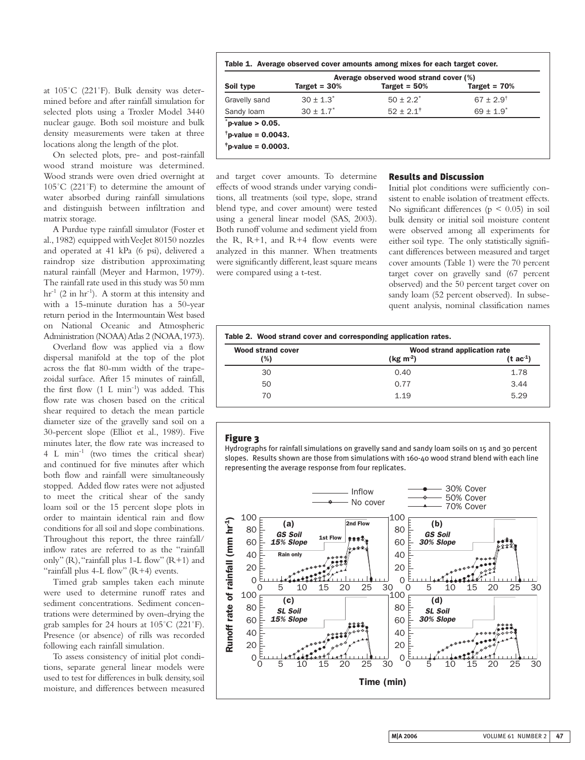at 105˚C (221˚F). Bulk density was determined before and after rainfall simulation for selected plots using a Troxler Model 3440 nuclear gauge. Both soil moisture and bulk density measurements were taken at three locations along the length of the plot.

On selected plots, pre- and post-rainfall wood strand moisture was determined. Wood strands were oven dried overnight at 105˚C (221˚F) to determine the amount of water absorbed during rainfall simulations and distinguish between infiltration and matrix storage.

A Purdue type rainfall simulator (Foster et al., 1982) equipped with VeeJet 80150 nozzles and operated at 41 kPa (6 psi), delivered a raindrop size distribution approximating natural rainfall (Meyer and Harmon, 1979). The rainfall rate used in this study was 50 mm  $hr^{-1}$  (2 in  $hr^{-1}$ ). A storm at this intensity and with a 15-minute duration has a 50-year return period in the Intermountain West based on National Oceanic and Atmospheric Administration (NOAA) Atlas 2 (NOAA,1973).

Overland flow was applied via a flow dispersal manifold at the top of the plot across the flat 80-mm width of the trapezoidal surface. After 15 minutes of rainfall, the first flow (1 L min-1) was added. This flow rate was chosen based on the critical shear required to detach the mean particle diameter size of the gravelly sand soil on a 30-percent slope (Elliot et al., 1989). Five minutes later, the flow rate was increased to 4 L min-1 (two times the critical shear) and continued for five minutes after which both flow and rainfall were simultaneously stopped. Added flow rates were not adjusted to meet the critical shear of the sandy loam soil or the 15 percent slope plots in order to maintain identical rain and flow conditions for all soil and slope combinations. Throughout this report, the three rainfall/ inflow rates are referred to as the "rainfall only" (R), "rainfall plus 1-L flow" (R+1) and "rainfall plus  $4-L$  flow"  $(R+4)$  events.

Timed grab samples taken each minute were used to determine runoff rates and sediment concentrations. Sediment concentrations were determined by oven-drying the grab samples for 24 hours at 105˚C (221˚F). Presence (or absence) of rills was recorded following each rainfall simulation.

To assess consistency of initial plot conditions, separate general linear models were used to test for differences in bulk density, soil moisture, and differences between measured

|  |  | Table 1. Average observed cover amounts among mixes for each target cover. |  |  |  |  |  |  |  |  |  |
|--|--|----------------------------------------------------------------------------|--|--|--|--|--|--|--|--|--|
|--|--|----------------------------------------------------------------------------|--|--|--|--|--|--|--|--|--|

|               |                 | Average observed wood strand cover (%) |                           |  |  |  |
|---------------|-----------------|----------------------------------------|---------------------------|--|--|--|
| Soil type     | Target = $30\%$ | Target = $50%$                         | Target = $70%$            |  |  |  |
| Gravelly sand | $30 \pm 1.3^*$  | $50 + 2.2^*$                           | $67 + 2.9$ <sup>t</sup>   |  |  |  |
| Sandy loam    | $30 \pm 1.7^*$  | $52 + 2.1^{\dagger}$                   | $69 \pm 1.9$ <sup>*</sup> |  |  |  |

and target cover amounts. To determine effects of wood strands under varying conditions, all treatments (soil type, slope, strand blend type, and cover amount) were tested using a general linear model (SAS, 2003). Both runoff volume and sediment yield from the R,  $R+1$ , and  $R+4$  flow events were analyzed in this manner. When treatments were significantly different, least square means were compared using a t-test.

#### **Results and Discussion**

Initial plot conditions were sufficiently consistent to enable isolation of treatment effects. No significant differences ( $p \leq 0.05$ ) in soil bulk density or initial soil moisture content were observed among all experiments for either soil type. The only statistically significant differences between measured and target cover amounts (Table 1) were the 70 percent target cover on gravelly sand (67 percent observed) and the 50 percent target cover on sandy loam (52 percent observed). In subsequent analysis, nominal classification names

| Wood strand cover | Wood strand application rate |                    |  |
|-------------------|------------------------------|--------------------|--|
| (%)               | (kg m <sup>2</sup> )         | $(t \text{ ac}^1)$ |  |
| 30                | 0.40                         | 1.78               |  |
| 50                | 0.77                         | 3.44               |  |
| 70                | 1.19                         | 5.29               |  |

## **Figure 3**

Hydrographs for rainfall simulations on gravelly sand and sandy loam soils on 15 and 30 percent slopes. Results shown are those from simulations with 160-40 wood strand blend with each line representing the average response from four replicates.

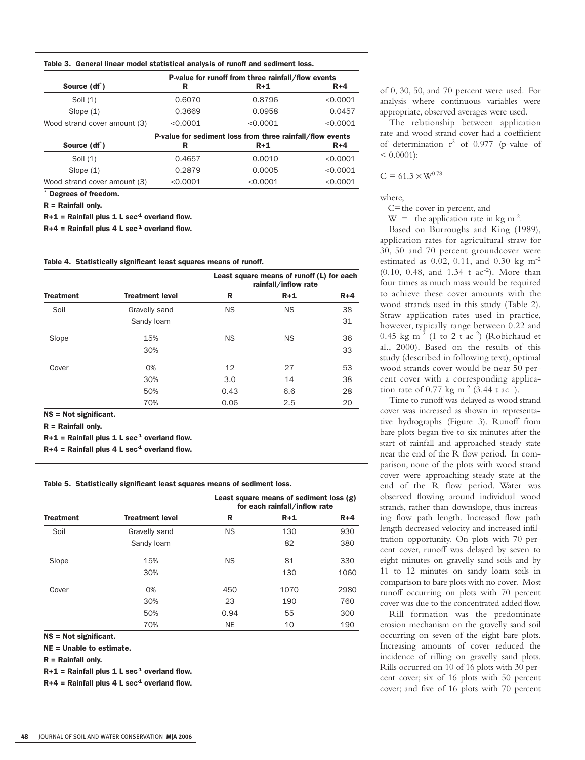|                              | P-value for runoff from three rainfall/flow events |                                                           |          |  |  |
|------------------------------|----------------------------------------------------|-----------------------------------------------------------|----------|--|--|
| Source (df <sup>*</sup> )    | R                                                  | $R+1$                                                     | $R+4$    |  |  |
| Soil $(1)$                   | 0.6070                                             | 0.8796                                                    | < 0.0001 |  |  |
| Slope $(1)$                  | 0.3669                                             | 0.0958                                                    | 0.0457   |  |  |
| Wood strand cover amount (3) | < 0.0001                                           | < 0.0001                                                  |          |  |  |
|                              |                                                    | P-value for sediment loss from three rainfall/flow events |          |  |  |
| Source (df <sup>*</sup> )    | R                                                  | $R+1$                                                     | $R+4$    |  |  |
| Soil $(1)$                   | 0.4657                                             | 0.0010                                                    | < 0.0001 |  |  |
|                              |                                                    | 0.0005                                                    | < 0.0001 |  |  |
| Slope $(1)$                  | 0.2879                                             |                                                           |          |  |  |

**R = Rainfall only.**

 $R+1$  = Rainfall plus 1 L sec<sup>-1</sup> overland flow.

 $R+4$  = Rainfall plus 4 L sec<sup>-1</sup> overland flow.

|                  |                        |           | Least square means of runoff (L) for each<br>rainfall/inflow rate |         |
|------------------|------------------------|-----------|-------------------------------------------------------------------|---------|
| <b>Treatment</b> | <b>Treatment level</b> | R         | $R+1$                                                             | $R + 4$ |
| Soil             | Gravelly sand          | <b>NS</b> | <b>NS</b>                                                         | 38      |
|                  | Sandy loam             |           |                                                                   | 31      |
| Slope            | 15%                    | <b>NS</b> | <b>NS</b>                                                         | 36      |
|                  | 30%                    |           |                                                                   | 33      |
| Cover            | 0%                     | 12        | 27                                                                | 53      |
|                  | 30%                    | 3.0       | 14                                                                | 38      |
|                  | 50%                    | 0.43      | 6.6                                                               | 28      |
|                  | 70%                    | 0.06      | 2.5                                                               | 20      |

**R = Rainfall only.**

 $R+1$  = Rainfall plus 1 L sec<sup>-1</sup> overland flow.

 $R+4$  = Rainfall plus 4 L sec<sup>-1</sup> overland flow.

|                  |                        | Least square means of sediment loss $(g)$<br>for each rainfall/inflow rate |       |       |  |
|------------------|------------------------|----------------------------------------------------------------------------|-------|-------|--|
| <b>Treatment</b> | <b>Treatment level</b> | R                                                                          | $R+1$ | $R+4$ |  |
| Soil             | Gravelly sand          | <b>NS</b>                                                                  | 130   | 930   |  |
|                  | Sandy loam             |                                                                            | 82    | 380   |  |
| Slope            | 15%                    | <b>NS</b>                                                                  | 81    | 330   |  |
|                  | 30%                    |                                                                            | 130   | 1060  |  |
| Cover            | 0%                     | 450                                                                        | 1070  | 2980  |  |
|                  | 30%                    | 23                                                                         | 190   | 760   |  |
|                  | 50%                    | 0.94                                                                       | 55    | 300   |  |
|                  | 70%                    | NE.                                                                        | 10    | 190   |  |

**NE = Unable to estimate.**

**R = Rainfall only.**

 $R+1$  = Rainfall plus 1 L sec<sup>-1</sup> overland flow.

 $R+4$  = Rainfall plus  $4$  L sec<sup>-1</sup> overland flow.

of 0, 30, 50, and 70 percent were used. For analysis where continuous variables were appropriate, observed averages were used.

The relationship between application rate and wood strand cover had a coefficient of determination  $r^2$  of 0.977 (p-value of  $< 0.0001$ :

$$
C = 61.3 \times W^{0.78}
$$

where,

C=the cover in percent, and

 $W =$  the application rate in kg m<sup>-2</sup>.

Based on Burroughs and King (1989), application rates for agricultural straw for 30, 50 and 70 percent groundcover were estimated as 0.02, 0.11, and 0.30 kg m-2  $(0.10, 0.48, \text{ and } 1.34 \text{ t} \text{ ac}^{-2}).$  More than four times as much mass would be required to achieve these cover amounts with the wood strands used in this study (Table 2). Straw application rates used in practice, however, typically range between 0.22 and 0.45 kg  $\text{m}^{-2}$  (1 to 2 t ac<sup>-2</sup>) (Robichaud et al., 2000). Based on the results of this study (described in following text), optimal wood strands cover would be near 50 percent cover with a corresponding application rate of 0.77 kg m<sup>-2</sup> (3.44 t ac<sup>-1</sup>).

Time to runoff was delayed as wood strand cover was increased as shown in representative hydrographs (Figure 3). Runoff from bare plots began five to six minutes after the start of rainfall and approached steady state near the end of the R flow period. In comparison, none of the plots with wood strand cover were approaching steady state at the end of the R flow period. Water was observed flowing around individual wood strands, rather than downslope, thus increasing flow path length. Increased flow path length decreased velocity and increased infiltration opportunity. On plots with 70 percent cover, runoff was delayed by seven to eight minutes on gravelly sand soils and by 11 to 12 minutes on sandy loam soils in comparison to bare plots with no cover. Most runoff occurring on plots with 70 percent cover was due to the concentrated added flow.

Rill formation was the predominate erosion mechanism on the gravelly sand soil occurring on seven of the eight bare plots. Increasing amounts of cover reduced the incidence of rilling on gravelly sand plots. Rills occurred on 10 of 16 plots with 30 percent cover; six of 16 plots with 50 percent cover; and five of 16 plots with 70 percent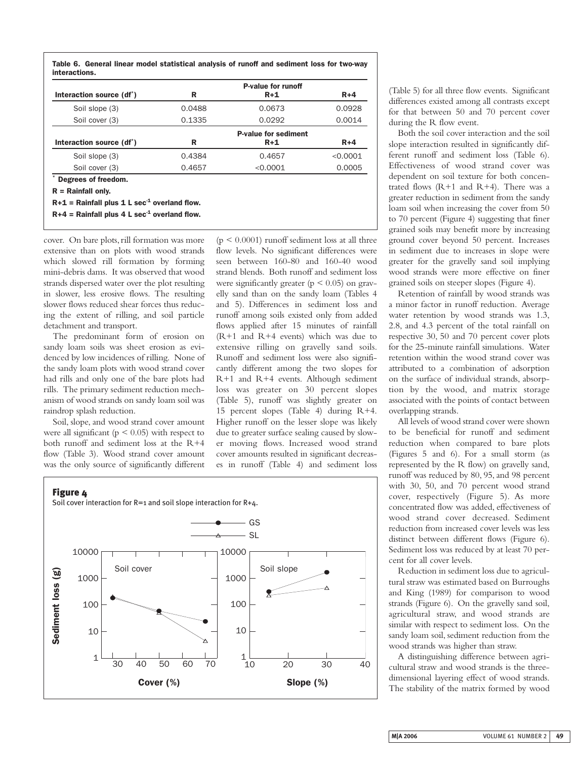**Table 6. General linear model statistical analysis of runoff and sediment loss for two-way interactions.**

|                                       |        | <b>P-value for runoff</b>   |          |
|---------------------------------------|--------|-----------------------------|----------|
| Interaction source (df <sup>*</sup> ) | R      | $R+1$                       | $R+4$    |
| Soil slope (3)                        | 0.0488 | 0.0673                      | 0.0928   |
| Soil cover (3)                        | 0.1335 | 0.0292                      | 0.0014   |
|                                       |        | <b>P-value for sediment</b> |          |
| Interaction source (df <sup>*</sup> ) | R      | $R+1$                       | $R+4$    |
| Soil slope (3)                        | 0.4384 | 0.4657                      | < 0.0001 |
| Soil cover (3)                        | 0.4657 | < 0.0001                    | 0.0005   |
| Degrees of freedom.                   |        |                             |          |

**R = Rainfall only.**

**R+1 = Rainfall plus 1 L sec-1 overland flow.**

 $R+4$  = Rainfall plus 4 L sec<sup>-1</sup> overland flow.

cover. On bare plots, rill formation was more extensive than on plots with wood strands which slowed rill formation by forming mini-debris dams. It was observed that wood strands dispersed water over the plot resulting in slower, less erosive flows. The resulting slower flows reduced shear forces thus reducing the extent of rilling, and soil particle detachment and transport.

The predominant form of erosion on sandy loam soils was sheet erosion as evidenced by low incidences of rilling. None of the sandy loam plots with wood strand cover had rills and only one of the bare plots had rills. The primary sediment reduction mechanism of wood strands on sandy loam soil was raindrop splash reduction.

Soil, slope, and wood strand cover amount were all significant ( $p < 0.05$ ) with respect to both runoff and sediment loss at the R+4 flow (Table 3). Wood strand cover amount was the only source of significantly different

 $(p \le 0.0001)$  runoff sediment loss at all three flow levels. No significant differences were seen between 160-80 and 160-40 wood strand blends. Both runoff and sediment loss were significantly greater ( $p < 0.05$ ) on gravelly sand than on the sandy loam (Tables 4 and 5). Differences in sediment loss and runoff among soils existed only from added flows applied after 15 minutes of rainfall (R+1 and R+4 events) which was due to extensive rilling on gravelly sand soils. Runoff and sediment loss were also significantly different among the two slopes for R+1 and R+4 events. Although sediment loss was greater on 30 percent slopes (Table 5), runoff was slightly greater on 15 percent slopes (Table 4) during R+4. Higher runoff on the lesser slope was likely due to greater surface sealing caused by slower moving flows. Increased wood strand cover amounts resulted in significant decreases in runoff (Table 4) and sediment loss



(Table 5) for all three flow events. Significant differences existed among all contrasts except for that between 50 and 70 percent cover during the R flow event.

Both the soil cover interaction and the soil slope interaction resulted in significantly different runoff and sediment loss (Table 6). Effectiveness of wood strand cover was dependent on soil texture for both concentrated flows  $(R+1$  and  $R+4)$ . There was a greater reduction in sediment from the sandy loam soil when increasing the cover from 50 to 70 percent (Figure 4) suggesting that finer grained soils may benefit more by increasing ground cover beyond 50 percent. Increases in sediment due to increases in slope were greater for the gravelly sand soil implying wood strands were more effective on finer grained soils on steeper slopes (Figure 4).

Retention of rainfall by wood strands was a minor factor in runoff reduction. Average water retention by wood strands was 1.3, 2.8, and 4.3 percent of the total rainfall on respective 30, 50 and 70 percent cover plots for the 25-minute rainfall simulations. Water retention within the wood strand cover was attributed to a combination of adsorption on the surface of individual strands, absorption by the wood, and matrix storage associated with the points of contact between overlapping strands.

All levels of wood strand cover were shown to be beneficial for runoff and sediment reduction when compared to bare plots (Figures 5 and 6). For a small storm (as represented by the R flow) on gravelly sand, runoff was reduced by 80, 95, and 98 percent with 30, 50, and 70 percent wood strand cover, respectively (Figure 5). As more concentrated flow was added, effectiveness of wood strand cover decreased. Sediment reduction from increased cover levels was less distinct between different flows (Figure 6). Sediment loss was reduced by at least 70 percent for all cover levels.

Reduction in sediment loss due to agricultural straw was estimated based on Burroughs and King (1989) for comparison to wood strands (Figure 6). On the gravelly sand soil, agricultural straw, and wood strands are similar with respect to sediment loss. On the sandy loam soil, sediment reduction from the wood strands was higher than straw.

A distinguishing difference between agricultural straw and wood strands is the threedimensional layering effect of wood strands. The stability of the matrix formed by wood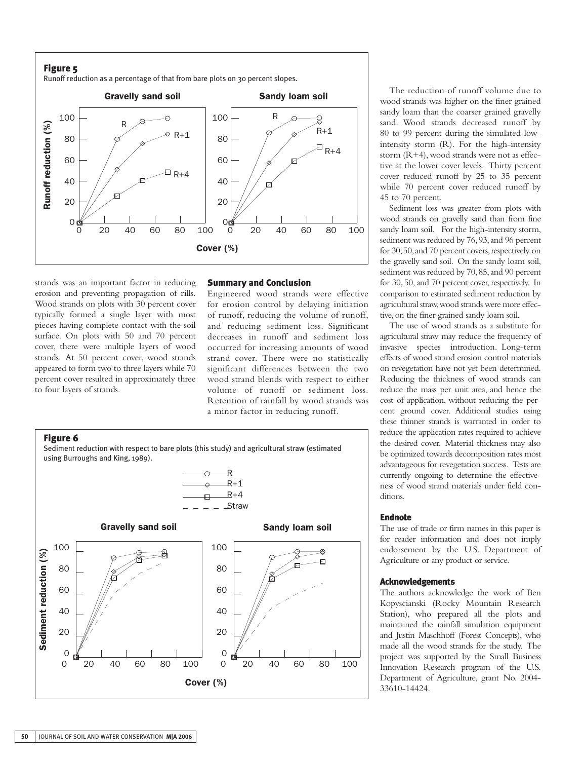## **Figure 5**

Runoff reduction as a percentage of that from bare plots on 30 percent slopes.



strands was an important factor in reducing erosion and preventing propagation of rills. Wood strands on plots with 30 percent cover typically formed a single layer with most pieces having complete contact with the soil surface. On plots with 50 and 70 percent cover, there were multiple layers of wood strands. At 50 percent cover, wood strands appeared to form two to three layers while 70 percent cover resulted in approximately three to four layers of strands.

#### **Summary and Conclusion**

Engineered wood strands were effective for erosion control by delaying initiation of runoff, reducing the volume of runoff, and reducing sediment loss. Significant decreases in runoff and sediment loss occurred for increasing amounts of wood strand cover. There were no statistically significant differences between the two wood strand blends with respect to either volume of runoff or sediment loss. Retention of rainfall by wood strands was a minor factor in reducing runoff.



The reduction of runoff volume due to wood strands was higher on the finer grained sandy loam than the coarser grained gravelly sand. Wood strands decreased runoff by 80 to 99 percent during the simulated lowintensity storm (R). For the high-intensity storm (R+4), wood strands were not as effective at the lower cover levels. Thirty percent cover reduced runoff by 25 to 35 percent while 70 percent cover reduced runoff by 45 to 70 percent.

Sediment loss was greater from plots with wood strands on gravelly sand than from fine sandy loam soil. For the high-intensity storm, sediment was reduced by 76, 93, and 96 percent for 30,50,and 70 percent covers,respectively on the gravelly sand soil. On the sandy loam soil, sediment was reduced by 70, 85, and 90 percent for 30, 50, and 70 percent cover, respectively. In comparison to estimated sediment reduction by agricultural straw,wood strands were more effective, on the finer grained sandy loam soil.

The use of wood strands as a substitute for agricultural straw may reduce the frequency of invasive species introduction. Long-term effects of wood strand erosion control materials on revegetation have not yet been determined. Reducing the thickness of wood strands can reduce the mass per unit area, and hence the cost of application, without reducing the percent ground cover. Additional studies using these thinner strands is warranted in order to reduce the application rates required to achieve the desired cover. Material thickness may also be optimized towards decomposition rates most advantageous for revegetation success. Tests are currently ongoing to determine the effectiveness of wood strand materials under field conditions.

## **Endnote**

The use of trade or firm names in this paper is for reader information and does not imply endorsement by the U.S. Department of Agriculture or any product or service.

### **Acknowledgements**

The authors acknowledge the work of Ben Kopyscianski (Rocky Mountain Research Station), who prepared all the plots and maintained the rainfall simulation equipment and Justin Maschhoff (Forest Concepts), who made all the wood strands for the study. The project was supported by the Small Business Innovation Research program of the U.S. Department of Agriculture, grant No. 2004- 33610-14424.